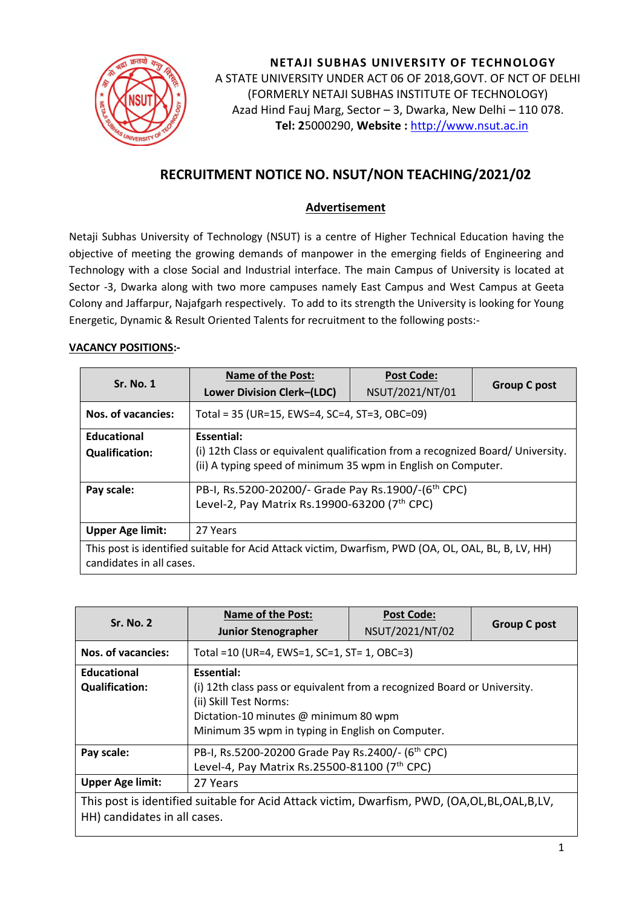

**NETAJI SUBHAS UNIVERSITY OF TECHNOLOGY** A STATE UNIVERSITY UNDER ACT 06 OF 2018,GOVT. OF NCT OF DELHI (FORMERLY NETAJI SUBHAS INSTITUTE OF TECHNOLOGY) Azad Hind Fauj Marg, Sector – 3, Dwarka, New Delhi – 110 078. **Tel: 2**5000290, **Website :** [http://www.nsut.ac.in](http://www.nsut.ac.in/)

# **RECRUITMENT NOTICE NO. NSUT/NON TEACHING/2021/02**

#### **Advertisement**

Netaji Subhas University of Technology (NSUT) is a centre of Higher Technical Education having the objective of meeting the growing demands of manpower in the emerging fields of Engineering and Technology with a close Social and Industrial interface. The main Campus of University is located at Sector -3, Dwarka along with two more campuses namely East Campus and West Campus at Geeta Colony and Jaffarpur, Najafgarh respectively. To add to its strength the University is looking for Young Energetic, Dynamic & Result Oriented Talents for recruitment to the following posts:-

#### **VACANCY POSITIONS:-**

| <b>Sr. No. 1</b>                                                                                                                | <b>Name of the Post:</b><br><b>Lower Division Clerk-(LDC)</b>                                                                                    | <b>Post Code:</b><br>NSUT/2021/NT/01 | <b>Group C post</b> |  |  |
|---------------------------------------------------------------------------------------------------------------------------------|--------------------------------------------------------------------------------------------------------------------------------------------------|--------------------------------------|---------------------|--|--|
| Nos. of vacancies:                                                                                                              | Total = 35 (UR=15, EWS=4, SC=4, ST=3, OBC=09)                                                                                                    |                                      |                     |  |  |
| <b>Educational</b>                                                                                                              | Essential:                                                                                                                                       |                                      |                     |  |  |
| <b>Qualification:</b>                                                                                                           | (i) 12th Class or equivalent qualification from a recognized Board/ University.<br>(ii) A typing speed of minimum 35 wpm in English on Computer. |                                      |                     |  |  |
| Pay scale:                                                                                                                      | PB-I, Rs.5200-20200/- Grade Pay Rs.1900/-(6 <sup>th</sup> CPC)                                                                                   |                                      |                     |  |  |
|                                                                                                                                 | Level-2, Pay Matrix Rs.19900-63200 (7th CPC)                                                                                                     |                                      |                     |  |  |
| <b>Upper Age limit:</b>                                                                                                         | 27 Years                                                                                                                                         |                                      |                     |  |  |
| This post is identified suitable for Acid Attack victim, Dwarfism, PWD (OA, OL, OAL, BL, B, LV, HH)<br>candidates in all cases. |                                                                                                                                                  |                                      |                     |  |  |

|                                                                                             | <b>Name of the Post:</b>                                                 | <b>Post Code:</b> |                     |  |  |
|---------------------------------------------------------------------------------------------|--------------------------------------------------------------------------|-------------------|---------------------|--|--|
| <b>Sr. No. 2</b>                                                                            | <b>Junior Stenographer</b>                                               | NSUT/2021/NT/02   | <b>Group C post</b> |  |  |
| <b>Nos. of vacancies:</b>                                                                   | Total = 10 (UR=4, EWS=1, SC=1, ST= 1, OBC=3)                             |                   |                     |  |  |
| Educational                                                                                 | Essential:                                                               |                   |                     |  |  |
| <b>Qualification:</b>                                                                       | (i) 12th class pass or equivalent from a recognized Board or University. |                   |                     |  |  |
|                                                                                             | (ii) Skill Test Norms:                                                   |                   |                     |  |  |
|                                                                                             | Dictation-10 minutes @ minimum 80 wpm                                    |                   |                     |  |  |
|                                                                                             | Minimum 35 wpm in typing in English on Computer.                         |                   |                     |  |  |
| Pay scale:                                                                                  | PB-I, Rs.5200-20200 Grade Pay Rs.2400/- (6 <sup>th</sup> CPC)            |                   |                     |  |  |
|                                                                                             | Level-4, Pay Matrix Rs.25500-81100 (7th CPC)                             |                   |                     |  |  |
| <b>Upper Age limit:</b>                                                                     | 27 Years                                                                 |                   |                     |  |  |
| This post is identified suitable for Acid Attack victim, Dwarfism, PWD, (OA,OL,BL,OAL,B,LV, |                                                                          |                   |                     |  |  |
| HH) candidates in all cases.                                                                |                                                                          |                   |                     |  |  |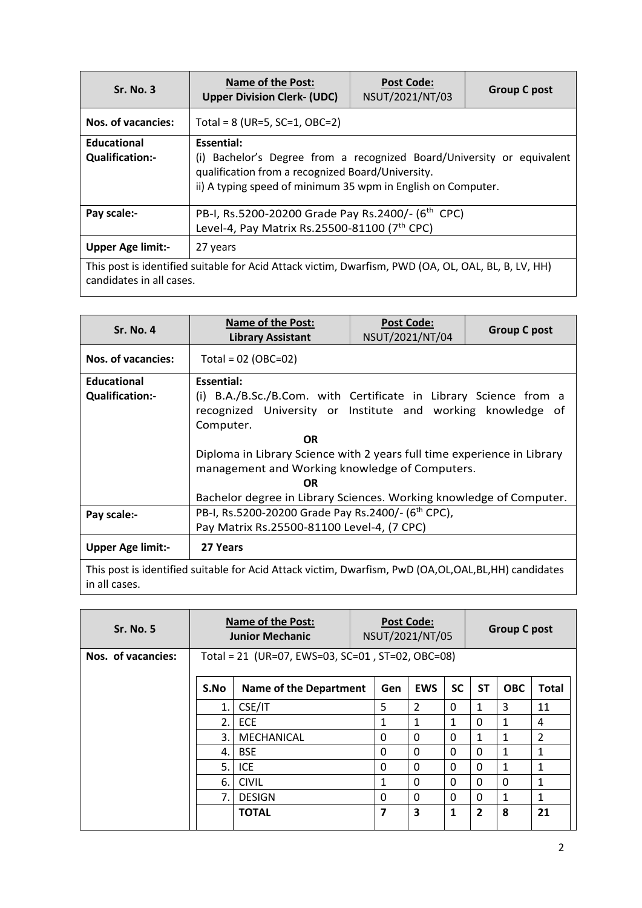| <b>Sr. No. 3</b>                                                                                                                | <b>Name of the Post:</b><br><b>Upper Division Clerk- (UDC)</b>                                                                                                                                            | <b>Post Code:</b><br>NSUT/2021/NT/03 | <b>Group C post</b> |  |
|---------------------------------------------------------------------------------------------------------------------------------|-----------------------------------------------------------------------------------------------------------------------------------------------------------------------------------------------------------|--------------------------------------|---------------------|--|
| Nos. of vacancies:                                                                                                              | Total = $8$ (UR=5, SC=1, OBC=2)                                                                                                                                                                           |                                      |                     |  |
| Educational<br><b>Qualification:-</b>                                                                                           | Essential:<br>(i) Bachelor's Degree from a recognized Board/University or equivalent<br>qualification from a recognized Board/University.<br>ii) A typing speed of minimum 35 wpm in English on Computer. |                                      |                     |  |
| Pay scale:-                                                                                                                     | PB-I, Rs.5200-20200 Grade Pay Rs.2400/- (6 <sup>th</sup> CPC)<br>Level-4, Pay Matrix Rs.25500-81100 (7th CPC)                                                                                             |                                      |                     |  |
| <b>Upper Age limit:-</b>                                                                                                        | 27 years                                                                                                                                                                                                  |                                      |                     |  |
| This post is identified suitable for Acid Attack victim, Dwarfism, PWD (OA, OL, OAL, BL, B, LV, HH)<br>candidates in all cases. |                                                                                                                                                                                                           |                                      |                     |  |

| <b>Sr. No. 4</b>         | <b>Name of the Post:</b><br><b>Library Assistant</b>                                                | <b>Post Code:</b><br>NSUT/2021/NT/04 | <b>Group C post</b> |  |  |  |
|--------------------------|-----------------------------------------------------------------------------------------------------|--------------------------------------|---------------------|--|--|--|
| Nos. of vacancies:       | Total = $02$ (OBC=02)                                                                               |                                      |                     |  |  |  |
| <b>Educational</b>       | Essential:                                                                                          |                                      |                     |  |  |  |
| <b>Qualification:-</b>   | (i) B.A./B.Sc./B.Com. with Certificate in Library Science from a                                    |                                      |                     |  |  |  |
|                          | recognized University or Institute and working knowledge<br>_of                                     |                                      |                     |  |  |  |
|                          | Computer.                                                                                           |                                      |                     |  |  |  |
|                          | <b>OR</b>                                                                                           |                                      |                     |  |  |  |
|                          | Diploma in Library Science with 2 years full time experience in Library                             |                                      |                     |  |  |  |
|                          | management and Working knowledge of Computers.                                                      |                                      |                     |  |  |  |
|                          | 0R                                                                                                  |                                      |                     |  |  |  |
|                          | Bachelor degree in Library Sciences. Working knowledge of Computer.                                 |                                      |                     |  |  |  |
| Pay scale:-              | PB-I, Rs.5200-20200 Grade Pay Rs.2400/- (6 <sup>th</sup> CPC),                                      |                                      |                     |  |  |  |
|                          | Pay Matrix Rs.25500-81100 Level-4, (7 CPC)                                                          |                                      |                     |  |  |  |
| <b>Upper Age limit:-</b> | 27 Years                                                                                            |                                      |                     |  |  |  |
| in all cases.            | This post is identified suitable for Acid Attack victim, Dwarfism, PwD (OA,OL,OAL,BL,HH) candidates |                                      |                     |  |  |  |

| <b>Sr. No. 5</b>   | <b>Name of the Post:</b><br><b>Junior Mechanic</b> |                                                  | <b>Post Code:</b><br>NSUT/2021/NT/05 |          |            |           | <b>Group C post</b> |              |                |  |
|--------------------|----------------------------------------------------|--------------------------------------------------|--------------------------------------|----------|------------|-----------|---------------------|--------------|----------------|--|
| Nos. of vacancies: |                                                    | Total = 21 (UR=07, EWS=03, SC=01, ST=02, OBC=08) |                                      |          |            |           |                     |              |                |  |
|                    | S.No                                               | Name of the Department                           |                                      | Gen      | <b>EWS</b> | <b>SC</b> | <b>ST</b>           | <b>OBC</b>   | <b>Total</b>   |  |
|                    | 1.                                                 | CSE/IT                                           |                                      | 5        | 2          | 0         | 1                   | 3            | 11             |  |
|                    | 2.                                                 | <b>ECE</b>                                       |                                      | 1        | 1          | 1         | 0                   | 1            | 4              |  |
|                    | 3.                                                 | MECHANICAL                                       |                                      | $\Omega$ | $\Omega$   | $\Omega$  | 1                   | 1            | $\overline{2}$ |  |
|                    | 4.                                                 | <b>BSE</b>                                       |                                      | $\Omega$ | $\Omega$   | 0         | $\Omega$            | 1            | 1              |  |
|                    | 5.                                                 | ICE.                                             |                                      | $\Omega$ | $\Omega$   | 0         | $\Omega$            | $\mathbf{1}$ | 1              |  |
|                    | 6.                                                 | <b>CIVIL</b>                                     |                                      | 1        | $\Omega$   | 0         | 0                   | $\Omega$     | $\mathbf{1}$   |  |
|                    | 7.                                                 | <b>DESIGN</b>                                    |                                      | $\Omega$ | $\Omega$   | 0         | 0                   | $\mathbf{1}$ | 1              |  |
|                    |                                                    | <b>TOTAL</b>                                     |                                      | 7        | 3          | 1         | $\overline{2}$      | 8            | 21             |  |

 $\overline{\phantom{a}}$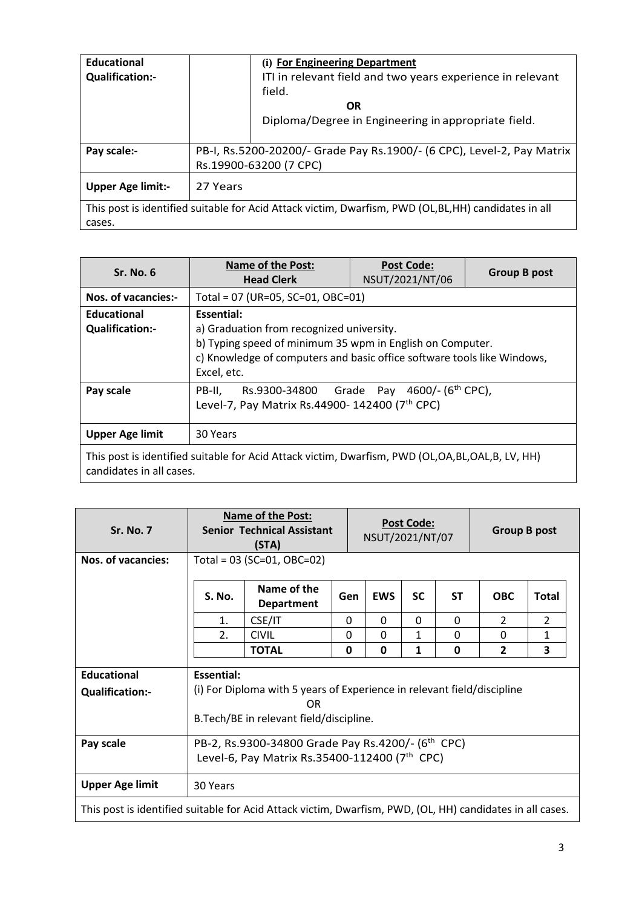| Educational<br><b>Qualification:-</b>                                                               | (i) For Engineering Department<br>ITI in relevant field and two years experience in relevant<br>field.<br><b>OR</b> |  |
|-----------------------------------------------------------------------------------------------------|---------------------------------------------------------------------------------------------------------------------|--|
|                                                                                                     | Diploma/Degree in Engineering in appropriate field.                                                                 |  |
| Pay scale:-                                                                                         | PB-I, Rs.5200-20200/- Grade Pay Rs.1900/- (6 CPC), Level-2, Pay Matrix<br>Rs.19900-63200 (7 CPC)                    |  |
| <b>Upper Age limit:-</b>                                                                            | 27 Years                                                                                                            |  |
| This post is identified suitable for Acid Attack victim, Dwarfism, PWD (OL,BL,HH) candidates in all |                                                                                                                     |  |
| cases.                                                                                              |                                                                                                                     |  |

| <b>Sr. No. 6</b>                                                                                                            | <b>Name of the Post:</b><br><b>Head Clerk</b>                                                                                                                                                                  | <b>Post Code:</b><br>NSUT/2021/NT/06 | <b>Group B post</b> |  |  |  |
|-----------------------------------------------------------------------------------------------------------------------------|----------------------------------------------------------------------------------------------------------------------------------------------------------------------------------------------------------------|--------------------------------------|---------------------|--|--|--|
| Nos. of vacancies:-                                                                                                         |                                                                                                                                                                                                                | Total = 07 (UR=05, SC=01, OBC=01)    |                     |  |  |  |
| <b>Educational</b><br><b>Qualification:-</b>                                                                                | Essential:<br>a) Graduation from recognized university.<br>b) Typing speed of minimum 35 wpm in English on Computer.<br>c) Knowledge of computers and basic office software tools like Windows,<br>Excel, etc. |                                      |                     |  |  |  |
| Pay scale                                                                                                                   | Rs.9300-34800<br>PB-II.<br>Level-7, Pay Matrix Rs.44900-142400 (7th CPC)                                                                                                                                       | Grade Pay $4600/- (6th$ CPC),        |                     |  |  |  |
| <b>Upper Age limit</b>                                                                                                      | 30 Years                                                                                                                                                                                                       |                                      |                     |  |  |  |
| This post is identified suitable for Acid Attack victim, Dwarfism, PWD (OL,OA,BL,OAL,B, LV, HH)<br>candidates in all cases. |                                                                                                                                                                                                                |                                      |                     |  |  |  |

| <b>Sr. No. 7</b>                                                                                          |                                                                                                                                                           | <b>Name of the Post:</b><br><b>Senior Technical Assistant</b><br>(STA)         |          |            | <b>Post Code:</b><br>NSUT/2021/NT/07 |           |                | <b>Group B post</b> |  |  |
|-----------------------------------------------------------------------------------------------------------|-----------------------------------------------------------------------------------------------------------------------------------------------------------|--------------------------------------------------------------------------------|----------|------------|--------------------------------------|-----------|----------------|---------------------|--|--|
| <b>Nos. of vacancies:</b>                                                                                 |                                                                                                                                                           | Total = $03$ (SC= $01$ , OBC= $02$ )                                           |          |            |                                      |           |                |                     |  |  |
|                                                                                                           | <b>S. No.</b>                                                                                                                                             | Name of the<br><b>Department</b>                                               | Gen      | <b>EWS</b> | <b>SC</b>                            | <b>ST</b> | <b>OBC</b>     | <b>Total</b>        |  |  |
|                                                                                                           | 1.                                                                                                                                                        | CSE/IT                                                                         | $\Omega$ | 0          | 0                                    | $\Omega$  | $\mathcal{P}$  | $\overline{2}$      |  |  |
|                                                                                                           | $\overline{2}$ .                                                                                                                                          | <b>CIVIL</b>                                                                   | 0        | $\Omega$   | $\mathbf{1}$                         | $\Omega$  | 0              | 1                   |  |  |
|                                                                                                           |                                                                                                                                                           | <b>TOTAL</b>                                                                   | 0        | 0          | 1                                    | 0         | $\overline{2}$ | 3                   |  |  |
| <b>Educational</b><br><b>Qualification:-</b>                                                              | Essential:                                                                                                                                                | (i) For Diploma with 5 years of Experience in relevant field/discipline<br>OR. |          |            |                                      |           |                |                     |  |  |
| Pay scale                                                                                                 | B.Tech/BE in relevant field/discipline.<br>PB-2, Rs.9300-34800 Grade Pay Rs.4200/- (6 <sup>th</sup> CPC)<br>Level-6, Pay Matrix Rs.35400-112400 (7th CPC) |                                                                                |          |            |                                      |           |                |                     |  |  |
| <b>Upper Age limit</b>                                                                                    | 30 Years                                                                                                                                                  |                                                                                |          |            |                                      |           |                |                     |  |  |
| This post is identified suitable for Acid Attack victim, Dwarfism, PWD, (OL, HH) candidates in all cases. |                                                                                                                                                           |                                                                                |          |            |                                      |           |                |                     |  |  |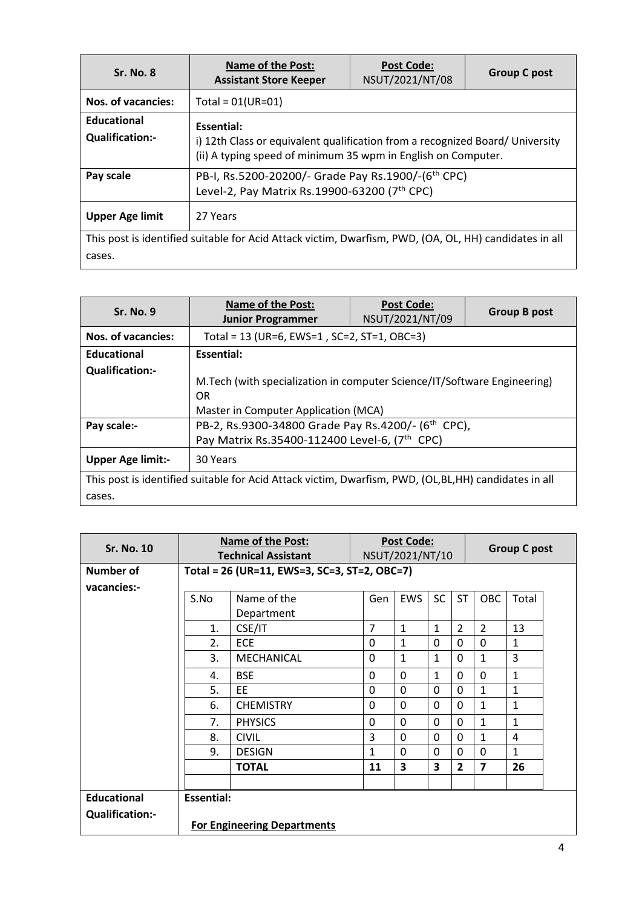| <b>Sr. No. 8</b>                      | <b>Name of the Post:</b><br><b>Assistant Store Keeper</b>                                                                                                    | <b>Post Code:</b><br>NSUT/2021/NT/08 | <b>Group C post</b> |  |
|---------------------------------------|--------------------------------------------------------------------------------------------------------------------------------------------------------------|--------------------------------------|---------------------|--|
| Nos. of vacancies:                    | Total = $01(UR=01)$                                                                                                                                          |                                      |                     |  |
| Educational<br><b>Qualification:-</b> | Essential:<br>i) 12th Class or equivalent qualification from a recognized Board/ University<br>(ii) A typing speed of minimum 35 wpm in English on Computer. |                                      |                     |  |
| Pay scale                             | PB-I, Rs.5200-20200/- Grade Pay Rs.1900/-(6 <sup>th</sup> CPC)<br>Level-2, Pay Matrix Rs.19900-63200 (7th CPC)                                               |                                      |                     |  |
| <b>Upper Age limit</b>                | 27 Years                                                                                                                                                     |                                      |                     |  |
| cases.                                | This post is identified suitable for Acid Attack victim, Dwarfism, PWD, (OA, OL, HH) candidates in all                                                       |                                      |                     |  |

| <b>Sr. No. 9</b>         | <b>Name of the Post:</b><br><b>Junior Programmer</b>                                                                     | <b>Post Code:</b><br>NSUT/2021/NT/09 | <b>Group B post</b> |  |  |
|--------------------------|--------------------------------------------------------------------------------------------------------------------------|--------------------------------------|---------------------|--|--|
| Nos. of vacancies:       | Total = 13 (UR=6, EWS=1, SC=2, ST=1, OBC=3)                                                                              |                                      |                     |  |  |
| Educational              | Essential:                                                                                                               |                                      |                     |  |  |
| <b>Qualification:-</b>   | M. Tech (with specialization in computer Science/IT/Software Engineering)<br>OR.<br>Master in Computer Application (MCA) |                                      |                     |  |  |
| Pay scale:-              | PB-2, Rs.9300-34800 Grade Pay Rs.4200/- (6 <sup>th</sup> CPC),<br>Pay Matrix Rs.35400-112400 Level-6, (7th CPC)          |                                      |                     |  |  |
| <b>Upper Age limit:-</b> | 30 Years                                                                                                                 |                                      |                     |  |  |
|                          | This post is identified suitable for Acid Attack victim, Dwarfism, PWD, (OL,BL,HH) candidates in all                     |                                      |                     |  |  |
| cases.                   |                                                                                                                          |                                      |                     |  |  |

| <b>Sr. No. 10</b>      | <b>Name of the Post:</b><br><b>Technical Assistant</b> |                                              | <b>Post Code:</b><br>NSUT/2021/NT/10 |              |              |                | <b>Group C post</b> |              |  |
|------------------------|--------------------------------------------------------|----------------------------------------------|--------------------------------------|--------------|--------------|----------------|---------------------|--------------|--|
| Number of              |                                                        | Total = 26 (UR=11, EWS=3, SC=3, ST=2, OBC=7) |                                      |              |              |                |                     |              |  |
| vacancies:-            |                                                        |                                              |                                      |              |              |                |                     |              |  |
|                        | S.No                                                   | Name of the<br>Department                    | Gen                                  | <b>EWS</b>   | <b>SC</b>    | <b>ST</b>      | <b>OBC</b>          | Total        |  |
|                        | 1.                                                     | CSE/IT                                       | $\overline{7}$                       | $\mathbf{1}$ | $\mathbf{1}$ | $\overline{2}$ | $\overline{2}$      | 13           |  |
|                        | $\overline{2}$ .                                       | ECE                                          | 0                                    | $\mathbf{1}$ | $\Omega$     | $\Omega$       | 0                   | $\mathbf{1}$ |  |
|                        | 3.                                                     | MECHANICAL                                   | 0                                    | $\mathbf{1}$ | $\mathbf{1}$ | 0              | $\mathbf{1}$        | 3            |  |
|                        | 4.                                                     | <b>BSE</b>                                   | 0                                    | $\Omega$     | $\mathbf{1}$ | $\Omega$       | $\Omega$            | $\mathbf{1}$ |  |
|                        | 5.                                                     | EE                                           | 0                                    | 0            | 0            | 0              | $\mathbf{1}$        | $\mathbf{1}$ |  |
|                        | 6.                                                     | <b>CHEMISTRY</b>                             | $\Omega$                             | 0            | $\Omega$     | 0              | $\mathbf{1}$        | 1            |  |
|                        | 7.                                                     | <b>PHYSICS</b>                               | 0                                    | 0            | 0            | 0              | $\mathbf{1}$        | $\mathbf{1}$ |  |
|                        | 8.                                                     | <b>CIVIL</b>                                 | 3                                    | 0            | 0            | 0              | $\mathbf{1}$        | 4            |  |
|                        | 9.                                                     | <b>DESIGN</b>                                | 1                                    | $\Omega$     | $\Omega$     | $\Omega$       | $\Omega$            | $\mathbf{1}$ |  |
|                        |                                                        | <b>TOTAL</b>                                 | 11                                   | 3            | 3            | $\overline{2}$ | $\overline{7}$      | 26           |  |
|                        |                                                        |                                              |                                      |              |              |                |                     |              |  |
| <b>Educational</b>     | <b>Essential:</b>                                      |                                              |                                      |              |              |                |                     |              |  |
| <b>Qualification:-</b> |                                                        | <b>For Engineering Departments</b>           |                                      |              |              |                |                     |              |  |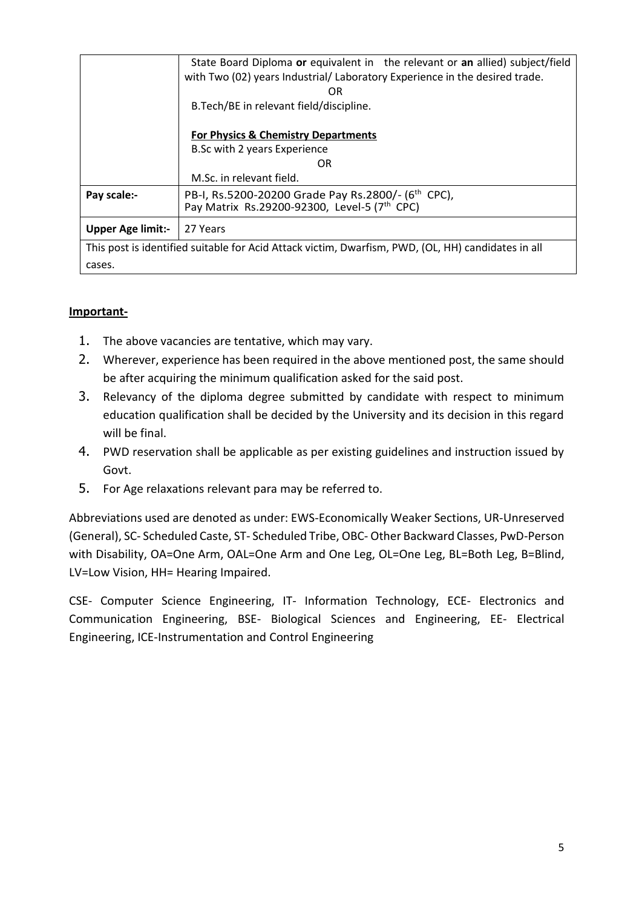|                                                                                                    | State Board Diploma or equivalent in the relevant or an allied) subject/field<br>with Two (02) years Industrial/ Laboratory Experience in the desired trade.<br>OR |  |
|----------------------------------------------------------------------------------------------------|--------------------------------------------------------------------------------------------------------------------------------------------------------------------|--|
|                                                                                                    | B. Tech/BE in relevant field/discipline.                                                                                                                           |  |
|                                                                                                    | For Physics & Chemistry Departments                                                                                                                                |  |
|                                                                                                    | B.Sc with 2 years Experience                                                                                                                                       |  |
|                                                                                                    | OR                                                                                                                                                                 |  |
|                                                                                                    | M.Sc. in relevant field.                                                                                                                                           |  |
| Pay scale:-                                                                                        | PB-I, Rs.5200-20200 Grade Pay Rs.2800/- (6 <sup>th</sup> CPC),<br>Pay Matrix Rs.29200-92300, Level-5 (7th CPC)                                                     |  |
|                                                                                                    |                                                                                                                                                                    |  |
| <b>Upper Age limit:-</b>                                                                           | 27 Years                                                                                                                                                           |  |
| This post is identified suitable for Acid Attack victim, Dwarfism, PWD, (OL, HH) candidates in all |                                                                                                                                                                    |  |
| cases.                                                                                             |                                                                                                                                                                    |  |

### **Important-**

- 1. The above vacancies are tentative, which may vary.
- 2. Wherever, experience has been required in the above mentioned post, the same should be after acquiring the minimum qualification asked for the said post.
- 3. Relevancy of the diploma degree submitted by candidate with respect to minimum education qualification shall be decided by the University and its decision in this regard will be final.
- 4. PWD reservation shall be applicable as per existing guidelines and instruction issued by Govt.
- 5. For Age relaxations relevant para may be referred to.

Abbreviations used are denoted as under: EWS-Economically Weaker Sections, UR-Unreserved (General), SC- Scheduled Caste, ST- Scheduled Tribe, OBC- Other Backward Classes, PwD-Person with Disability, OA=One Arm, OAL=One Arm and One Leg, OL=One Leg, BL=Both Leg, B=Blind, LV=Low Vision, HH= Hearing Impaired.

CSE- Computer Science Engineering, IT- Information Technology, ECE- Electronics and Communication Engineering, BSE- Biological Sciences and Engineering, EE- Electrical Engineering, ICE-Instrumentation and Control Engineering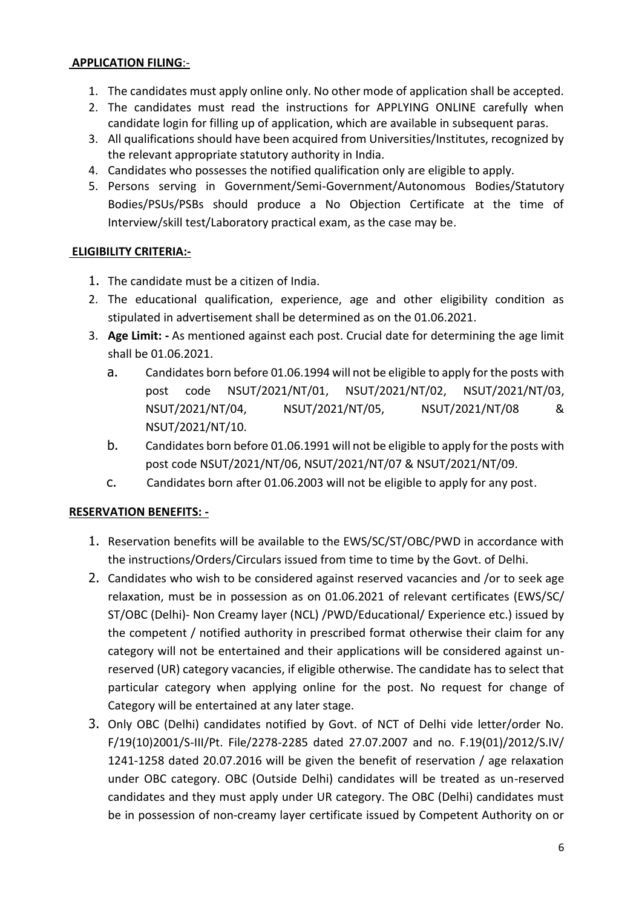### **APPLICATION FILING**:-

- 1. The candidates must apply online only. No other mode of application shall be accepted.
- 2. The candidates must read the instructions for APPLYING ONLINE carefully when candidate login for filling up of application, which are available in subsequent paras.
- 3. All qualifications should have been acquired from Universities/Institutes, recognized by the relevant appropriate statutory authority in India.
- 4. Candidates who possesses the notified qualification only are eligible to apply.
- 5. Persons serving in Government/Semi-Government/Autonomous Bodies/Statutory Bodies/PSUs/PSBs should produce a No Objection Certificate at the time of Interview/skill test/Laboratory practical exam, as the case may be.

#### **ELIGIBILITY CRITERIA:-**

- 1. The candidate must be a citizen of India.
- 2. The educational qualification, experience, age and other eligibility condition as stipulated in advertisement shall be determined as on the 01.06.2021.
- 3. **Age Limit: -** As mentioned against each post. Crucial date for determining the age limit shall be 01.06.2021.
	- a. Candidates born before 01.06.1994 will not be eligible to apply for the posts with post code NSUT/2021/NT/01, NSUT/2021/NT/02, NSUT/2021/NT/03, NSUT/2021/NT/04, NSUT/2021/NT/05, NSUT/2021/NT/08 & NSUT/2021/NT/10.
	- b. Candidates born before 01.06.1991 will not be eligible to apply for the posts with post code NSUT/2021/NT/06, NSUT/2021/NT/07 & NSUT/2021/NT/09.
	- c. Candidates born after 01.06.2003 will not be eligible to apply for any post.

#### **RESERVATION BENEFITS: -**

- 1. Reservation benefits will be available to the EWS/SC/ST/OBC/PWD in accordance with the instructions/Orders/Circulars issued from time to time by the Govt. of Delhi.
- 2. Candidates who wish to be considered against reserved vacancies and /or to seek age relaxation, must be in possession as on 01.06.2021 of relevant certificates (EWS/SC/ ST/OBC (Delhi)- Non Creamy layer (NCL) /PWD/Educational/ Experience etc.) issued by the competent / notified authority in prescribed format otherwise their claim for any category will not be entertained and their applications will be considered against unreserved (UR) category vacancies, if eligible otherwise. The candidate has to select that particular category when applying online for the post. No request for change of Category will be entertained at any later stage.
- 3. Only OBC (Delhi) candidates notified by Govt. of NCT of Delhi vide letter/order No. F/19(10)2001/S-III/Pt. File/2278-2285 dated 27.07.2007 and no. F.19(01)/2012/S.IV/ 1241-1258 dated 20.07.2016 will be given the benefit of reservation / age relaxation under OBC category. OBC (Outside Delhi) candidates will be treated as un-reserved candidates and they must apply under UR category. The OBC (Delhi) candidates must be in possession of non-creamy layer certificate issued by Competent Authority on or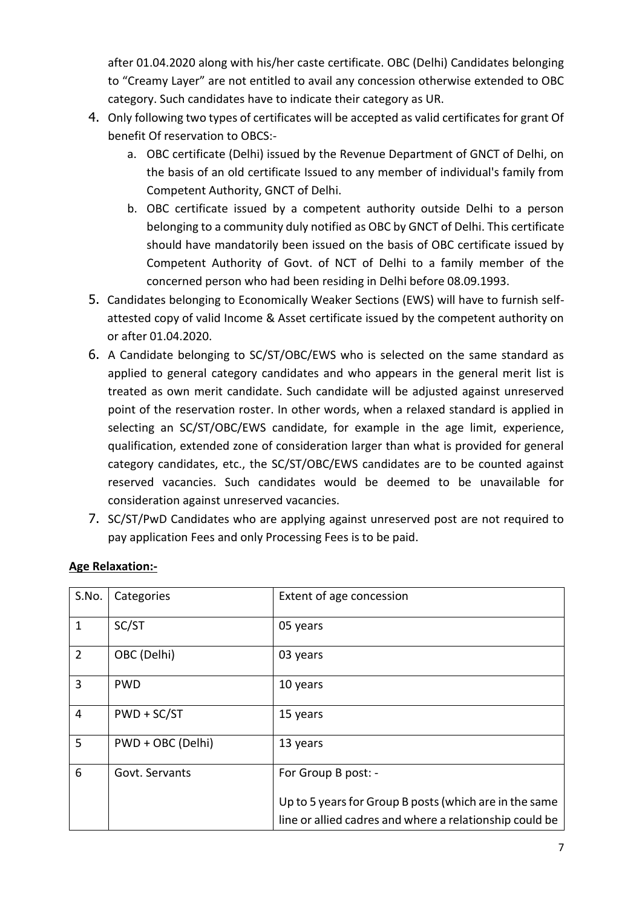after 01.04.2020 along with his/her caste certificate. OBC (Delhi) Candidates belonging to "Creamy Layer" are not entitled to avail any concession otherwise extended to OBC category. Such candidates have to indicate their category as UR.

- 4. Only following two types of certificates will be accepted as valid certificates for grant Of benefit Of reservation to OBCS:
	- a. OBC certificate (Delhi) issued by the Revenue Department of GNCT of Delhi, on the basis of an old certificate Issued to any member of individual's family from Competent Authority, GNCT of Delhi.
	- b. OBC certificate issued by a competent authority outside Delhi to a person belonging to a community duly notified as OBC by GNCT of Delhi. This certificate should have mandatorily been issued on the basis of OBC certificate issued by Competent Authority of Govt. of NCT of Delhi to a family member of the concerned person who had been residing in Delhi before 08.09.1993.
- 5. Candidates belonging to Economically Weaker Sections (EWS) will have to furnish selfattested copy of valid Income & Asset certificate issued by the competent authority on or after 01.04.2020.
- 6. A Candidate belonging to SC/ST/OBC/EWS who is selected on the same standard as applied to general category candidates and who appears in the general merit list is treated as own merit candidate. Such candidate will be adjusted against unreserved point of the reservation roster. In other words, when a relaxed standard is applied in selecting an SC/ST/OBC/EWS candidate, for example in the age limit, experience, qualification, extended zone of consideration larger than what is provided for general category candidates, etc., the SC/ST/OBC/EWS candidates are to be counted against reserved vacancies. Such candidates would be deemed to be unavailable for consideration against unreserved vacancies.
- 7. SC/ST/PwD Candidates who are applying against unreserved post are not required to pay application Fees and only Processing Fees is to be paid.

| S.No.          | Categories        | Extent of age concession                                                                                          |
|----------------|-------------------|-------------------------------------------------------------------------------------------------------------------|
| $\mathbf{1}$   | SC/ST             | 05 years                                                                                                          |
| $\overline{2}$ | OBC (Delhi)       | 03 years                                                                                                          |
| 3              | <b>PWD</b>        | 10 years                                                                                                          |
| $\overline{4}$ | $PWD + SC/ST$     | 15 years                                                                                                          |
| 5              | PWD + OBC (Delhi) | 13 years                                                                                                          |
| 6              | Govt. Servants    | For Group B post: -                                                                                               |
|                |                   | Up to 5 years for Group B posts (which are in the same<br>line or allied cadres and where a relationship could be |

## **Age Relaxation:-**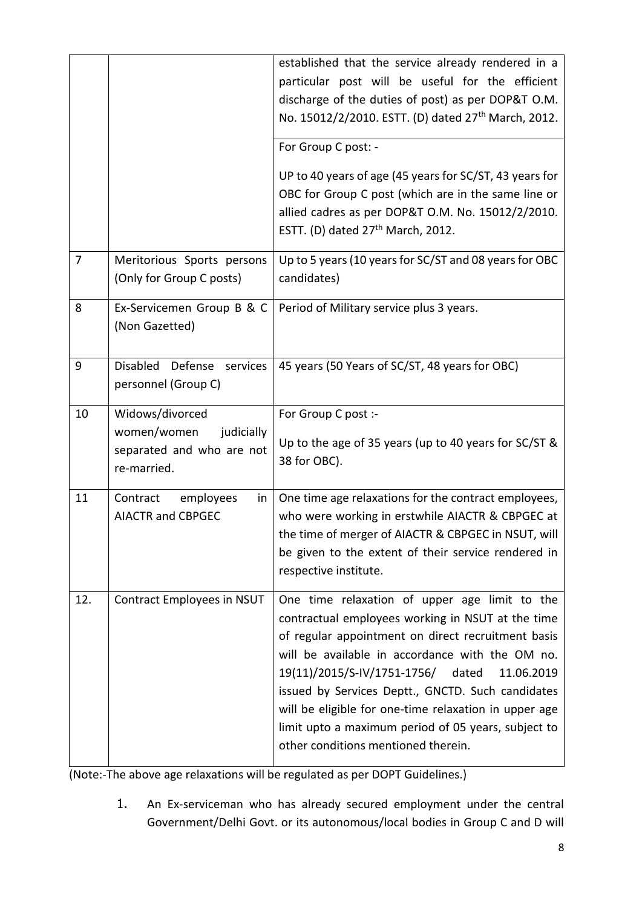|                |                                                                                         | established that the service already rendered in a<br>particular post will be useful for the efficient<br>discharge of the duties of post) as per DOP&T O.M.<br>No. 15012/2/2010. ESTT. (D) dated 27 <sup>th</sup> March, 2012.                 |  |
|----------------|-----------------------------------------------------------------------------------------|-------------------------------------------------------------------------------------------------------------------------------------------------------------------------------------------------------------------------------------------------|--|
|                |                                                                                         | For Group C post: -                                                                                                                                                                                                                             |  |
|                |                                                                                         | UP to 40 years of age (45 years for SC/ST, 43 years for<br>OBC for Group C post (which are in the same line or<br>allied cadres as per DOP&T O.M. No. 15012/2/2010.<br>ESTT. (D) dated 27 <sup>th</sup> March, 2012.                            |  |
| $\overline{7}$ | Meritorious Sports persons<br>(Only for Group C posts)                                  | Up to 5 years (10 years for SC/ST and 08 years for OBC<br>candidates)                                                                                                                                                                           |  |
| 8              | Ex-Servicemen Group B & C<br>Period of Military service plus 3 years.<br>(Non Gazetted) |                                                                                                                                                                                                                                                 |  |
| 9              | Disabled Defense<br>services<br>personnel (Group C)                                     | 45 years (50 Years of SC/ST, 48 years for OBC)                                                                                                                                                                                                  |  |
| 10             | Widows/divorced                                                                         |                                                                                                                                                                                                                                                 |  |
|                | women/women<br>judicially<br>separated and who are not<br>re-married.                   | For Group C post :-<br>Up to the age of 35 years (up to 40 years for SC/ST &<br>38 for OBC).                                                                                                                                                    |  |
| 11             | Contract<br>employees<br>in<br><b>AIACTR and CBPGEC</b>                                 | One time age relaxations for the contract employees,<br>who were working in erstwhile AIACTR & CBPGEC at<br>the time of merger of AIACTR & CBPGEC in NSUT, will<br>be given to the extent of their service rendered in<br>respective institute. |  |

(Note:-The above age relaxations will be regulated as per DOPT Guidelines.)

1. An Ex-serviceman who has already secured employment under the central Government/Delhi Govt. or its autonomous/local bodies in Group C and D will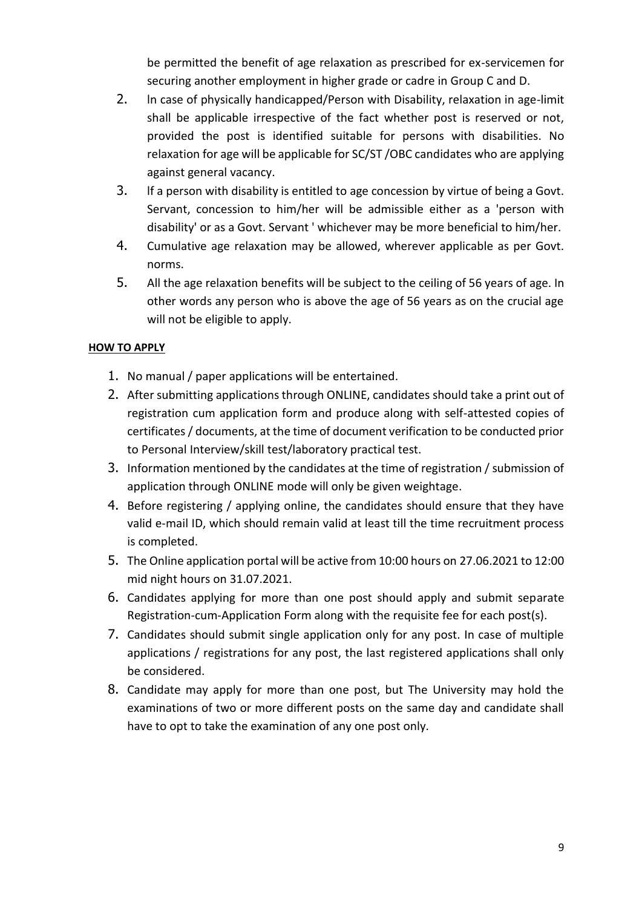be permitted the benefit of age relaxation as prescribed for ex-servicemen for securing another employment in higher grade or cadre in Group C and D.

- 2. ln case of physically handicapped/Person with Disability, relaxation in age-limit shall be applicable irrespective of the fact whether post is reserved or not, provided the post is identified suitable for persons with disabilities. No relaxation for age will be applicable for SC/ST /OBC candidates who are applying against general vacancy.
- 3. lf a person with disability is entitled to age concession by virtue of being a Govt. Servant, concession to him/her will be admissible either as a 'person with disability' or as a Govt. Servant ' whichever may be more beneficial to him/her.
- 4. Cumulative age relaxation may be allowed, wherever applicable as per Govt. norms.
- 5. All the age relaxation benefits will be subject to the ceiling of 56 years of age. In other words any person who is above the age of 56 years as on the crucial age will not be eligible to apply.

#### **HOW TO APPLY**

- 1. No manual / paper applications will be entertained.
- 2. After submitting applications through ONLINE, candidates should take a print out of registration cum application form and produce along with self-attested copies of certificates / documents, at the time of document verification to be conducted prior to Personal Interview/skill test/laboratory practical test.
- 3. Information mentioned by the candidates at the time of registration / submission of application through ONLINE mode will only be given weightage.
- 4. Before registering / applying online, the candidates should ensure that they have valid e-mail ID, which should remain valid at least till the time recruitment process is completed.
- 5. The Online application portal will be active from 10:00 hours on 27.06.2021 to 12:00 mid night hours on 31.07.2021.
- 6. Candidates applying for more than one post should apply and submit separate Registration-cum-Application Form along with the requisite fee for each post(s).
- 7. Candidates should submit single application only for any post. In case of multiple applications / registrations for any post, the last registered applications shall only be considered.
- 8. Candidate may apply for more than one post, but The University may hold the examinations of two or more different posts on the same day and candidate shall have to opt to take the examination of any one post only.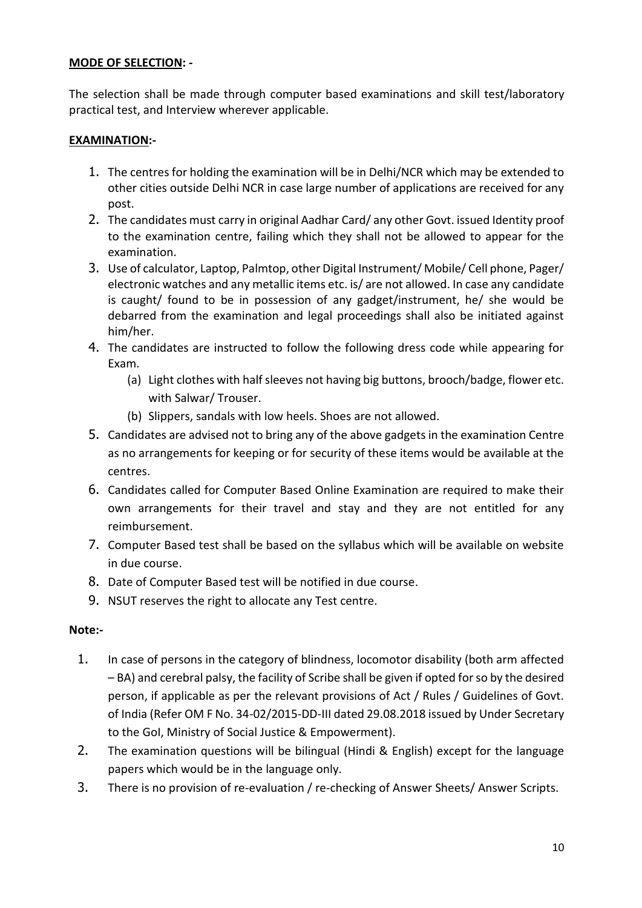#### **MODE OF SELECTION: -**

The selection shall be made through computer based examinations and skill test/laboratory practical test, and Interview wherever applicable.

#### **EXAMINATION:-**

- 1. The centres for holding the examination will be in Delhi/NCR which may be extended to other cities outside Delhi NCR in case large number of applications are received for any post.
- 2. The candidates must carry in original Aadhar Card/ any other Govt. issued Identity proof to the examination centre, failing which they shall not be allowed to appear for the examination.
- 3. Use of calculator, Laptop, Palmtop, other Digital Instrument/ Mobile/ Cell phone, Pager/ electronic watches and any metallic items etc. is/ are not allowed. In case any candidate is caught/ found to be in possession of any gadget/instrument, he/ she would be debarred from the examination and legal proceedings shall also be initiated against him/her.
- 4. The candidates are instructed to follow the following dress code while appearing for Exam.
	- (a) Light clothes with half sleeves not having big buttons, brooch/badge, flower etc. with Salwar/ Trouser.
	- (b) Slippers, sandals with low heels. Shoes are not allowed.
- 5. Candidates are advised not to bring any of the above gadgets in the examination Centre as no arrangements for keeping or for security of these items would be available at the centres.
- 6. Candidates called for Computer Based Online Examination are required to make their own arrangements for their travel and stay and they are not entitled for any reimbursement.
- 7. Computer Based test shall be based on the syllabus which will be available on website in due course.
- 8. Date of Computer Based test will be notified in due course.
- 9. NSUT reserves the right to allocate any Test centre.

#### **Note:-**

- 1. In case of persons in the category of blindness, locomotor disability (both arm affected – BA) and cerebral palsy, the facility of Scribe shall be given if opted for so by the desired person, if applicable as per the relevant provisions of Act / Rules / Guidelines of Govt. of India (Refer OM F No. 34-02/2015-DD-III dated 29.08.2018 issued by Under Secretary to the GoI, Ministry of Social Justice & Empowerment).
- 2. The examination questions will be bilingual (Hindi & English) except for the language papers which would be in the language only.
- 3. There is no provision of re-evaluation / re-checking of Answer Sheets/ Answer Scripts.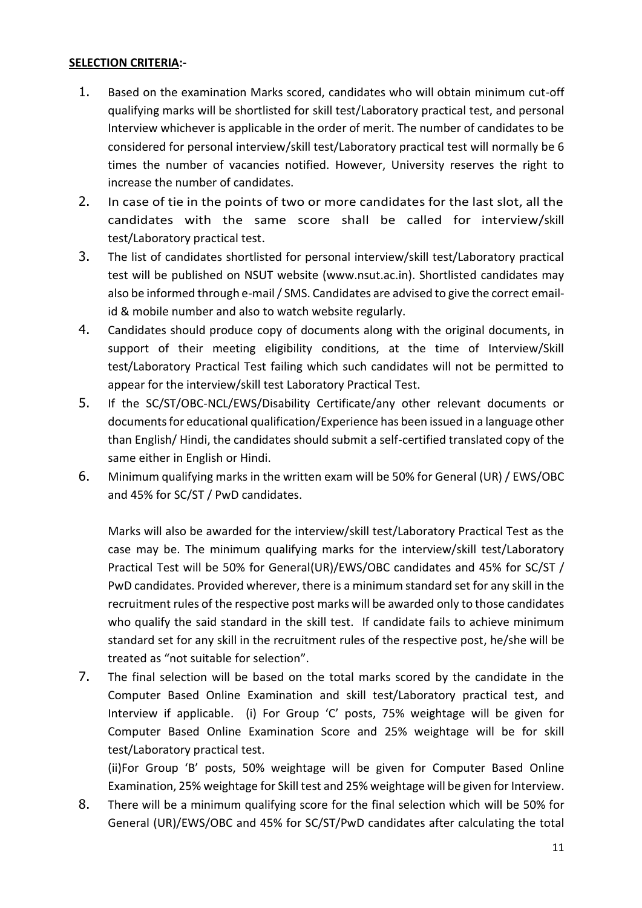#### **SELECTION CRITERIA:-**

- 1. Based on the examination Marks scored, candidates who will obtain minimum cut-off qualifying marks will be shortlisted for skill test/Laboratory practical test, and personal Interview whichever is applicable in the order of merit. The number of candidates to be considered for personal interview/skill test/Laboratory practical test will normally be 6 times the number of vacancies notified. However, University reserves the right to increase the number of candidates.
- 2. In case of tie in the points of two or more candidates for the last slot, all the candidates with the same score shall be called for interview/skill test/Laboratory practical test.
- 3. The list of candidates shortlisted for personal interview/skill test/Laboratory practical test will be published on NSUT website (www.nsut.ac.in). Shortlisted candidates may also be informed through e-mail / SMS. Candidates are advised to give the correct emailid & mobile number and also to watch website regularly.
- 4. Candidates should produce copy of documents along with the original documents, in support of their meeting eligibility conditions, at the time of Interview/Skill test/Laboratory Practical Test failing which such candidates will not be permitted to appear for the interview/skill test Laboratory Practical Test.
- 5. If the SC/ST/OBC-NCL/EWS/Disability Certificate/any other relevant documents or documents for educational qualification/Experience has been issued in a language other than English/ Hindi, the candidates should submit a self-certified translated copy of the same either in English or Hindi.
- 6. Minimum qualifying marks in the written exam will be 50% for General (UR) / EWS/OBC and 45% for SC/ST / PwD candidates.

Marks will also be awarded for the interview/skill test/Laboratory Practical Test as the case may be. The minimum qualifying marks for the interview/skill test/Laboratory Practical Test will be 50% for General(UR)/EWS/OBC candidates and 45% for SC/ST / PwD candidates. Provided wherever, there is a minimum standard set for any skill in the recruitment rules of the respective post marks will be awarded only to those candidates who qualify the said standard in the skill test. If candidate fails to achieve minimum standard set for any skill in the recruitment rules of the respective post, he/she will be treated as "not suitable for selection".

7. The final selection will be based on the total marks scored by the candidate in the Computer Based Online Examination and skill test/Laboratory practical test, and Interview if applicable. (i) For Group 'C' posts, 75% weightage will be given for Computer Based Online Examination Score and 25% weightage will be for skill test/Laboratory practical test.

(ii)For Group 'B' posts, 50% weightage will be given for Computer Based Online Examination, 25% weightage for Skill test and 25% weightage will be given for Interview.

8. There will be a minimum qualifying score for the final selection which will be 50% for General (UR)/EWS/OBC and 45% for SC/ST/PwD candidates after calculating the total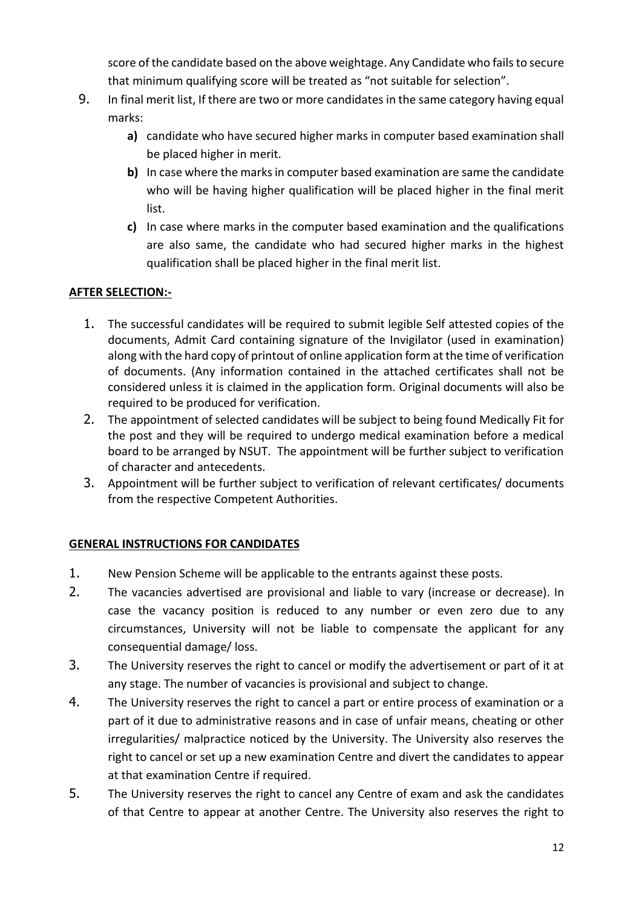score of the candidate based on the above weightage. Any Candidate who fails to secure that minimum qualifying score will be treated as "not suitable for selection".

- 9. In final merit list, If there are two or more candidates in the same category having equal marks:
	- **a)** candidate who have secured higher marks in computer based examination shall be placed higher in merit.
	- **b)** In case where the marks in computer based examination are same the candidate who will be having higher qualification will be placed higher in the final merit list.
	- **c)** In case where marks in the computer based examination and the qualifications are also same, the candidate who had secured higher marks in the highest qualification shall be placed higher in the final merit list.

## **AFTER SELECTION:-**

- 1. The successful candidates will be required to submit legible Self attested copies of the documents, Admit Card containing signature of the Invigilator (used in examination) along with the hard copy of printout of online application form at the time of verification of documents. (Any information contained in the attached certificates shall not be considered unless it is claimed in the application form. Original documents will also be required to be produced for verification.
- 2. The appointment of selected candidates will be subject to being found Medically Fit for the post and they will be required to undergo medical examination before a medical board to be arranged by NSUT. The appointment will be further subject to verification of character and antecedents.
- 3. Appointment will be further subject to verification of relevant certificates/ documents from the respective Competent Authorities.

#### **GENERAL INSTRUCTIONS FOR CANDIDATES**

- 1. New Pension Scheme will be applicable to the entrants against these posts.
- 2. The vacancies advertised are provisional and liable to vary (increase or decrease). In case the vacancy position is reduced to any number or even zero due to any circumstances, University will not be liable to compensate the applicant for any consequential damage/ loss.
- 3. The University reserves the right to cancel or modify the advertisement or part of it at any stage. The number of vacancies is provisional and subject to change.
- 4. The University reserves the right to cancel a part or entire process of examination or a part of it due to administrative reasons and in case of unfair means, cheating or other irregularities/ malpractice noticed by the University. The University also reserves the right to cancel or set up a new examination Centre and divert the candidates to appear at that examination Centre if required.
- 5. The University reserves the right to cancel any Centre of exam and ask the candidates of that Centre to appear at another Centre. The University also reserves the right to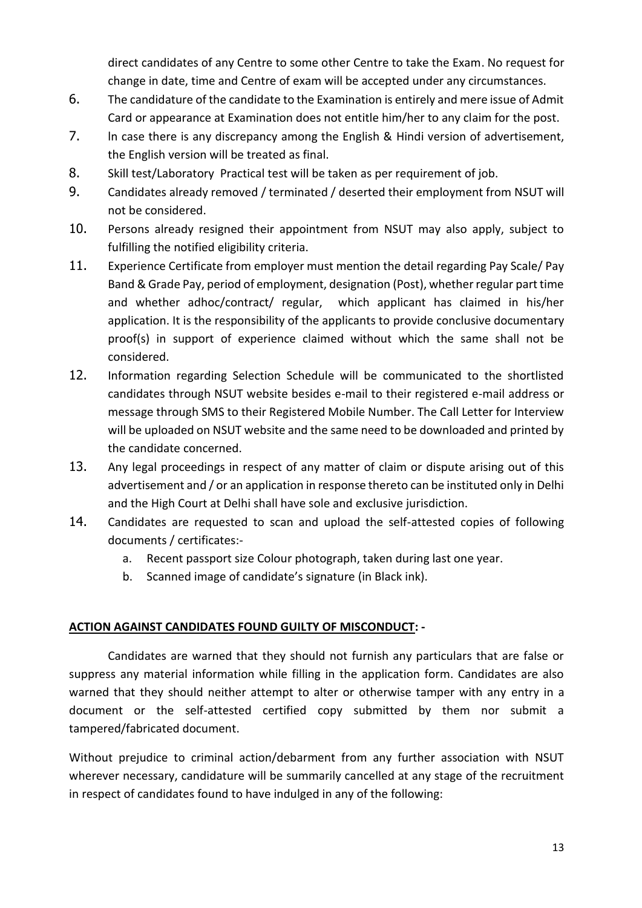direct candidates of any Centre to some other Centre to take the Exam. No request for change in date, time and Centre of exam will be accepted under any circumstances.

- 6. The candidature of the candidate to the Examination is entirely and mere issue of Admit Card or appearance at Examination does not entitle him/her to any claim for the post.
- 7. ln case there is any discrepancy among the English & Hindi version of advertisement, the English version will be treated as final.
- 8. Skill test/Laboratory Practical test will be taken as per requirement of job.
- 9. Candidates already removed / terminated / deserted their employment from NSUT will not be considered.
- 10. Persons already resigned their appointment from NSUT may also apply, subject to fulfilling the notified eligibility criteria.
- 11. Experience Certificate from employer must mention the detail regarding Pay Scale/ Pay Band & Grade Pay, period of employment, designation (Post), whether regular part time and whether adhoc/contract/ regular, which applicant has claimed in his/her application. It is the responsibility of the applicants to provide conclusive documentary proof(s) in support of experience claimed without which the same shall not be considered.
- 12. Information regarding Selection Schedule will be communicated to the shortlisted candidates through NSUT website besides e-mail to their registered e-mail address or message through SMS to their Registered Mobile Number. The Call Letter for Interview will be uploaded on NSUT website and the same need to be downloaded and printed by the candidate concerned.
- 13. Any legal proceedings in respect of any matter of claim or dispute arising out of this advertisement and / or an application in response thereto can be instituted only in Delhi and the High Court at Delhi shall have sole and exclusive jurisdiction.
- 14. Candidates are requested to scan and upload the self-attested copies of following documents / certificates:
	- a. Recent passport size Colour photograph, taken during last one year.
	- b. Scanned image of candidate's signature (in Black ink).

#### **ACTION AGAINST CANDIDATES FOUND GUILTY OF MISCONDUCT: -**

Candidates are warned that they should not furnish any particulars that are false or suppress any material information while filling in the application form. Candidates are also warned that they should neither attempt to alter or otherwise tamper with any entry in a document or the self-attested certified copy submitted by them nor submit a tampered/fabricated document.

Without prejudice to criminal action/debarment from any further association with NSUT wherever necessary, candidature will be summarily cancelled at any stage of the recruitment in respect of candidates found to have indulged in any of the following: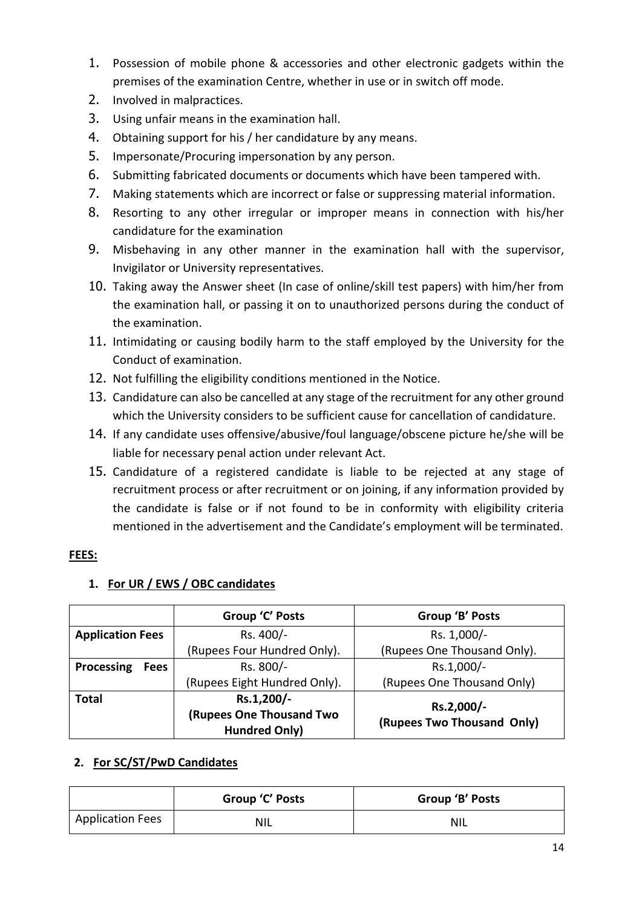- 1. Possession of mobile phone & accessories and other electronic gadgets within the premises of the examination Centre, whether in use or in switch off mode.
- 2. Involved in malpractices.
- 3. Using unfair means in the examination hall.
- 4. Obtaining support for his / her candidature by any means.
- 5. Impersonate/Procuring impersonation by any person.
- 6. Submitting fabricated documents or documents which have been tampered with.
- 7. Making statements which are incorrect or false or suppressing material information.
- 8. Resorting to any other irregular or improper means in connection with his/her candidature for the examination
- 9. Misbehaving in any other manner in the examination hall with the supervisor, Invigilator or University representatives.
- 10. Taking away the Answer sheet (In case of online/skill test papers) with him/her from the examination hall, or passing it on to unauthorized persons during the conduct of the examination.
- 11. Intimidating or causing bodily harm to the staff employed by the University for the Conduct of examination.
- 12. Not fulfilling the eligibility conditions mentioned in the Notice.
- 13. Candidature can also be cancelled at any stage of the recruitment for any other ground which the University considers to be sufficient cause for cancellation of candidature.
- 14. If any candidate uses offensive/abusive/foul language/obscene picture he/she will be liable for necessary penal action under relevant Act.
- 15. Candidature of a registered candidate is liable to be rejected at any stage of recruitment process or after recruitment or on joining, if any information provided by the candidate is false or if not found to be in conformity with eligibility criteria mentioned in the advertisement and the Candidate's employment will be terminated.

## **FEES:**

|                           | Group 'C' Posts                                                       | Group 'B' Posts                          |
|---------------------------|-----------------------------------------------------------------------|------------------------------------------|
| <b>Application Fees</b>   | Rs. 400/-                                                             | Rs. 1,000/-                              |
|                           | (Rupees Four Hundred Only).                                           | (Rupees One Thousand Only).              |
| Processing<br><b>Fees</b> | Rs. 800/-                                                             | Rs.1,000/-                               |
|                           | (Rupees Eight Hundred Only).                                          | (Rupees One Thousand Only)               |
| <b>Total</b>              | Rs.1,200/-<br><b>(Rupees One Thousand Two</b><br><b>Hundred Only)</b> | Rs.2,000/-<br>(Rupees Two Thousand Only) |

## **1. For UR / EWS / OBC candidates**

#### **2. For SC/ST/PwD Candidates**

|                         | Group 'C' Posts | Group 'B' Posts |
|-------------------------|-----------------|-----------------|
| <b>Application Fees</b> | <b>NIL</b>      | NIL             |